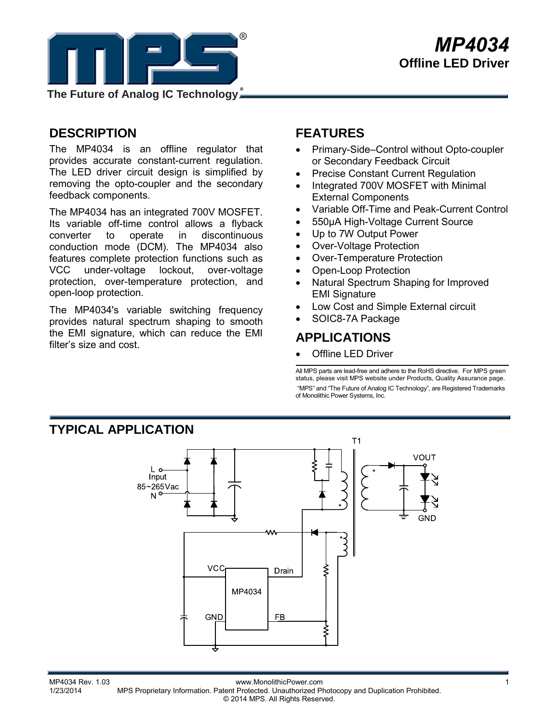

## *MP4034* **Offline LED Driver**

**The Future of Analog IC Technology**

### **DESCRIPTION**

The MP4034 is an offline regulator that provides accurate constant-current regulation. The LED driver circuit design is simplified by removing the opto-coupler and the secondary feedback components.

The MP4034 has an integrated 700V MOSFET. Its variable off-time control allows a flyback converter to operate in discontinuous conduction mode (DCM). The MP4034 also features complete protection functions such as VCC under-voltage lockout, over-voltage protection, over-temperature protection, and open-loop protection.

The MP4034's variable switching frequency provides natural spectrum shaping to smooth the EMI signature, which can reduce the EMI filter's size and cost.

### **FEATURES**

- Primary-Side–Control without Opto-coupler or Secondary Feedback Circuit
- Precise Constant Current Regulation
- Integrated 700V MOSFET with Minimal External Components
- Variable Off-Time and Peak-Current Control
- 550µA High-Voltage Current Source
- Up to 7W Output Power
- Over-Voltage Protection
- Over-Temperature Protection
- Open-Loop Protection
- Natural Spectrum Shaping for Improved EMI Signature
- Low Cost and Simple External circuit
- SOIC8-7A Package

### **APPLICATIONS**

**Offline LED Driver** 

All MPS parts are lead-free and adhere to the RoHS directive. For MPS green status, please visit MPS website under Products, Quality Assurance page. "MPS" and "The Future of Analog IC Technology", are Registered Trademarks of Monolithic Power Systems, Inc.



MP4034 Rev. 1.03 www.MonolithicPower.com<br>1/23/2014 MPS Proprietary Information Patent Protected Unauthorized Photocopy and Duplication Prohibited MPS Proprietary Information. Patent Protected. Unauthorized Photocopy and Duplication Prohibited. © 2014 MPS. All Rights Reserved.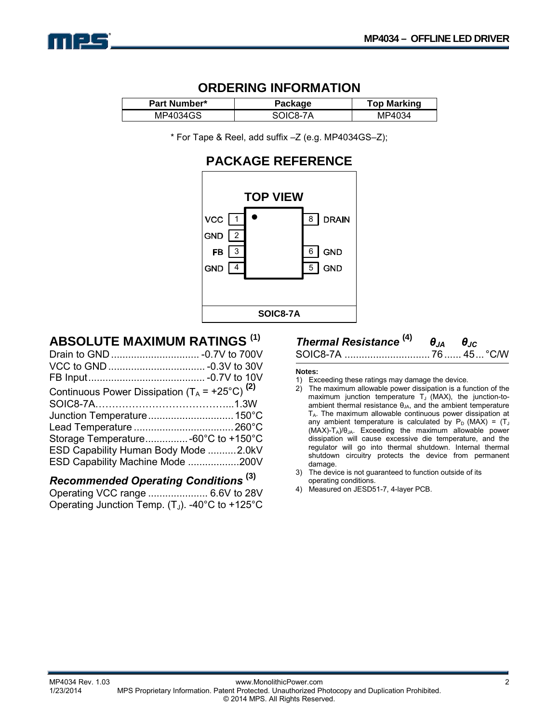

# **ORDERING INFORMATION**

| Part Number* | аае<br>'аск | <b>Top Marking</b> |
|--------------|-------------|--------------------|
| 34GS<br>MP40 |             | 34                 |

\* For Tape & Reel, add suffix –Z (e.g. MP4034GS–Z);

### **PACKAGE REFERENCE**



### **ABSOLUTE MAXIMUM RATINGS (1)**

| Continuous Power Dissipation $(T_A = +25^{\circ}C)^{(2)}$ |  |
|-----------------------------------------------------------|--|
|                                                           |  |
|                                                           |  |
|                                                           |  |
|                                                           |  |
| ESD Capability Human Body Mode 2.0kV                      |  |
| ESD Capability Machine Mode 200V                          |  |

### *Recommended Operating Conditions* **(3)**

Operating VCC range ..................... 6.6V to 28V Operating Junction Temp.  $(T_J)$ . -40°C to +125°C

#### *Thermal Resistance* **(4)** *θJA θJC* SOIC8-7A .............................. 76 ...... 45... °C/W

#### **Notes:**

- 1) Exceeding these ratings may damage the device.
- 2) The maximum allowable power dissipation is a function of the maximum junction temperature  $T_J$  (MAX), the junction-toambient thermal resistance  $\theta_{JA}$ , and the ambient temperature  $T_A$ . The maximum allowable continuous power dissipation at any ambient temperature is calculated by  $P_D$  (MAX) = (T<sub>J</sub> (MAX)-TA)/θJA. Exceeding the maximum allowable power dissipation will cause excessive die temperature, and the regulator will go into thermal shutdown. Internal thermal shutdown circuitry protects the device from permanent damage.
- 3) The device is not guaranteed to function outside of its operating conditions.
- 4) Measured on JESD51-7, 4-layer PCB.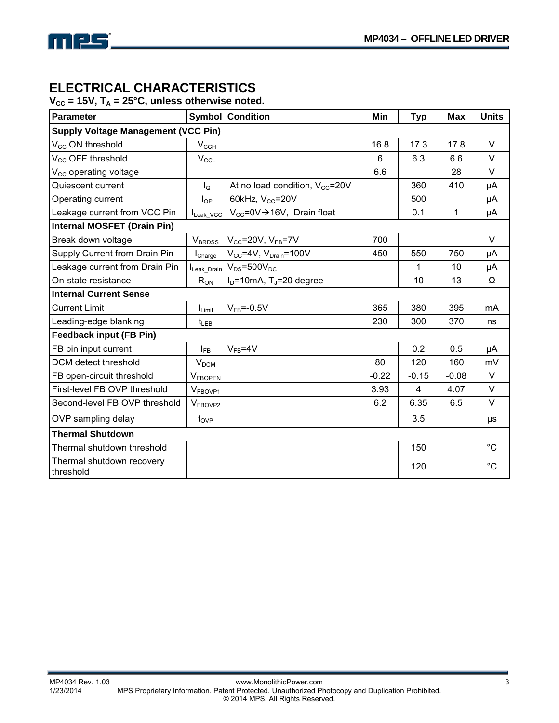

### **ELECTRICAL CHARACTERISTICS**

 $V_{CC}$  = 15V,  $T_A$  = 25°C, unless otherwise noted.

| <b>Parameter</b>                           |                           | <b>Symbol Condition</b>                     | Min     | <b>Typ</b>     | <b>Max</b> | <b>Units</b> |  |
|--------------------------------------------|---------------------------|---------------------------------------------|---------|----------------|------------|--------------|--|
| <b>Supply Voltage Management (VCC Pin)</b> |                           |                                             |         |                |            |              |  |
| V <sub>CC</sub> ON threshold               | $V_{CCH}$                 |                                             | 16.8    | 17.3           | 17.8       | $\vee$       |  |
| V <sub>CC</sub> OFF threshold              | $V_{\text{CCL}}$          |                                             | 6       | 6.3            | 6.6        | $\vee$       |  |
| $V_{CC}$ operating voltage                 |                           |                                             | 6.6     |                | 28         | V            |  |
| Quiescent current                          | $I_{\rm Q}$               | At no load condition, $V_{CC}$ =20V         |         | 360            | 410        | μA           |  |
| Operating current                          | $I_{OP}$                  | 60kHz, V <sub>cc</sub> =20V                 |         | 500            |            | μA           |  |
| Leakage current from VCC Pin               | Leak_VCC                  | $V_{CC} = 0V \rightarrow 16V$ , Drain float |         | 0.1            | 1          | μA           |  |
| <b>Internal MOSFET (Drain Pin)</b>         |                           |                                             |         |                |            |              |  |
| Break down voltage                         | <b>V</b> <sub>BRDSS</sub> | $V_{CC}$ =20V, $V_{FB}$ =7V                 | 700     |                |            | V            |  |
| Supply Current from Drain Pin              | $I_{\text{Charge}}$       | $V_{CC}$ =4V, $V_{Drain}$ =100V             | 450     | 550            | 750        | μA           |  |
| Leakage current from Drain Pin             | Leak_Drain                | $V_{DS}$ =500 $V_{DC}$                      |         | 1              | 10         | μA           |  |
| On-state resistance                        | $R_{ON}$                  | $ID=10mA$ , T <sub>J</sub> =20 degree       |         | 10             | 13         | Ω            |  |
| <b>Internal Current Sense</b>              |                           |                                             |         |                |            |              |  |
| <b>Current Limit</b>                       | $I_{Limit}$               | $V_{FB} = -0.5V$                            | 365     | 380            | 395        | mA           |  |
| Leading-edge blanking                      | $t_{LEB}$                 |                                             | 230     | 300            | 370        | ns           |  |
| <b>Feedback input (FB Pin)</b>             |                           |                                             |         |                |            |              |  |
| FB pin input current                       | $I_{FB}$                  | $V_{FB} = 4V$                               |         | 0.2            | 0.5        | μA           |  |
| DCM detect threshold                       | V <sub>DCM</sub>          |                                             | 80      | 120            | 160        | mV           |  |
| FB open-circuit threshold                  | V <sub>FBOPEN</sub>       |                                             | $-0.22$ | $-0.15$        | $-0.08$    | $\vee$       |  |
| First-level FB OVP threshold               | V <sub>FBOVP1</sub>       |                                             | 3.93    | $\overline{4}$ | 4.07       | $\vee$       |  |
| Second-level FB OVP threshold              | V <sub>FBOVP2</sub>       |                                             | 6.2     | 6.35           | 6.5        | V            |  |
| OVP sampling delay                         | $t_{OVP}$                 |                                             |         | 3.5            |            | μs           |  |
| <b>Thermal Shutdown</b>                    |                           |                                             |         |                |            |              |  |
| Thermal shutdown threshold                 |                           |                                             |         | 150            |            | $^{\circ}C$  |  |
| Thermal shutdown recovery<br>threshold     |                           |                                             |         | 120            |            | $^{\circ}C$  |  |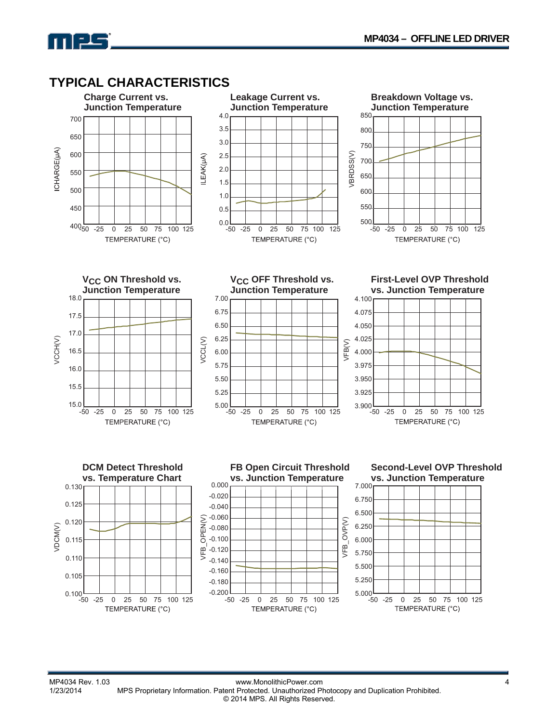### **TYPICAL CHARACTERISTICS**

mpc

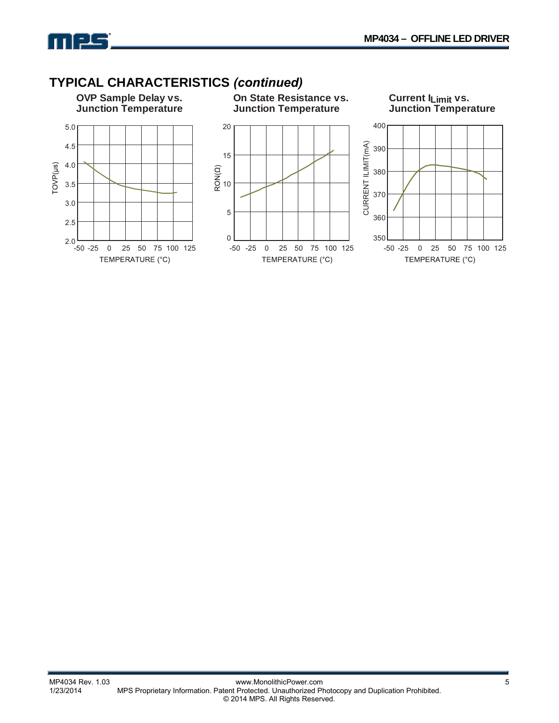

### **TYPICAL CHARACTERISTICS** *(continued)*

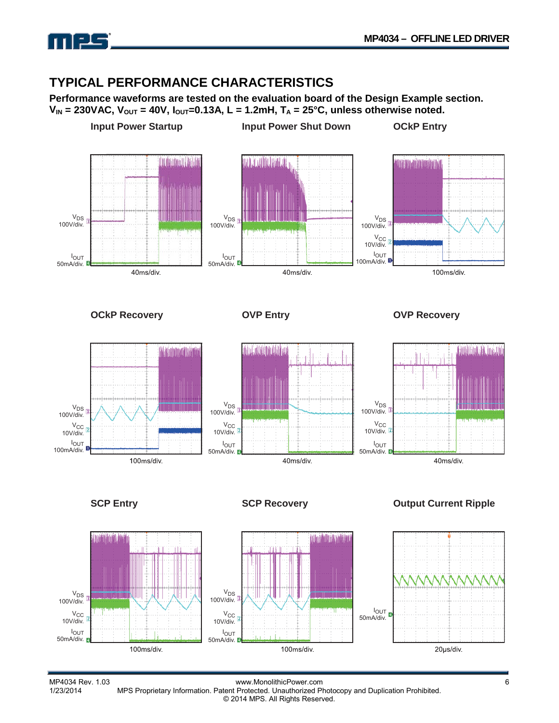

### **TYPICAL PERFORMANCE CHARACTERISTICS**

**Performance waveforms are tested on the evaluation board of the Design Example section.**   $V_{IN}$  = 230VAC,  $V_{OUT}$  = 40V,  $I_{OUT}$  = 0.13A, L = 1.2mH,  $T_A$  = 25°C, unless otherwise noted.



MP4034 Rev. 1.03 www.MonolithicPower.com<br>1/23/2014 MPS Proprietary Information. Patent Protected. Unauthorized Photocopy and Duplication Prohibited. MPS Proprietary Information. Patent Protected. Unauthorized Photocopy and Duplication Prohibited. © 2014 MPS. All Rights Reserved.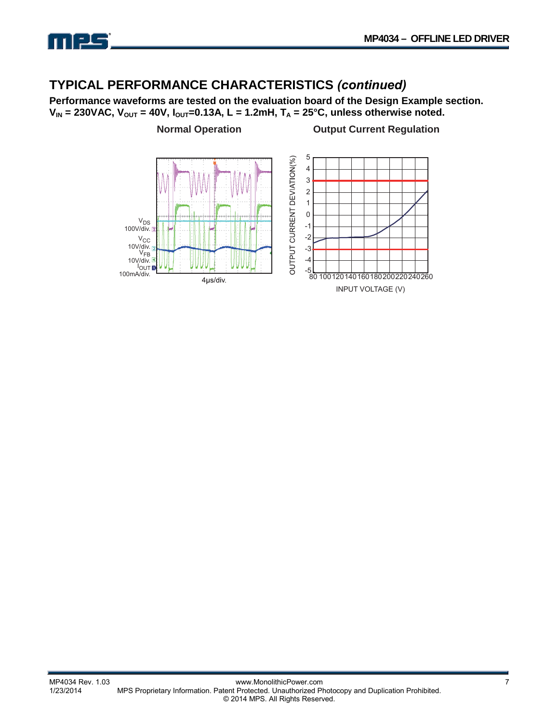

### **TYPICAL PERFORMANCE CHARACTERISTICS** *(continued)*

**Performance waveforms are tested on the evaluation board of the Design Example section.**   $V_{IN}$  = 230VAC,  $V_{OUT}$  = 40V,  $I_{OUT}$  = 0.13A, L = 1.2mH,  $T_A$  = 25°C, unless otherwise noted.

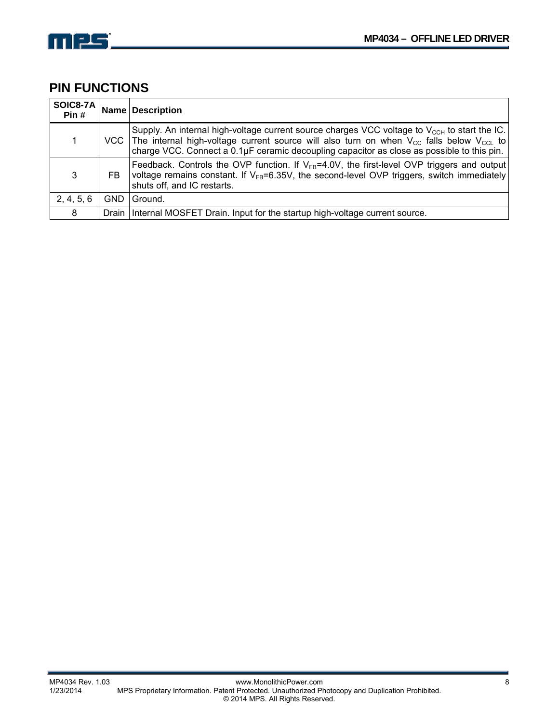

### **PIN FUNCTIONS**

| SOIC8-7A<br>Pin# |            | Name Description                                                                                                                                                                                                                                                                                        |
|------------------|------------|---------------------------------------------------------------------------------------------------------------------------------------------------------------------------------------------------------------------------------------------------------------------------------------------------------|
|                  |            | Supply. An internal high-voltage current source charges VCC voltage to $V_{CCH}$ to start the IC.<br>VCC The internal high-voltage current source will also turn on when $V_{CC}$ falls below $V_{CC}$ to<br>charge VCC. Connect a 0.1µF ceramic decoupling capacitor as close as possible to this pin. |
| 3                | FB         | Feedback. Controls the OVP function. If $V_{FR}$ =4.0V, the first-level OVP triggers and output<br>voltage remains constant. If $V_{FB} = 6.35V$ , the second-level OVP triggers, switch immediately<br>shuts off, and IC restarts.                                                                     |
| 2, 4, 5, 6       | <b>GND</b> | Ground.                                                                                                                                                                                                                                                                                                 |
| 8                |            | Drain   Internal MOSFET Drain. Input for the startup high-voltage current source.                                                                                                                                                                                                                       |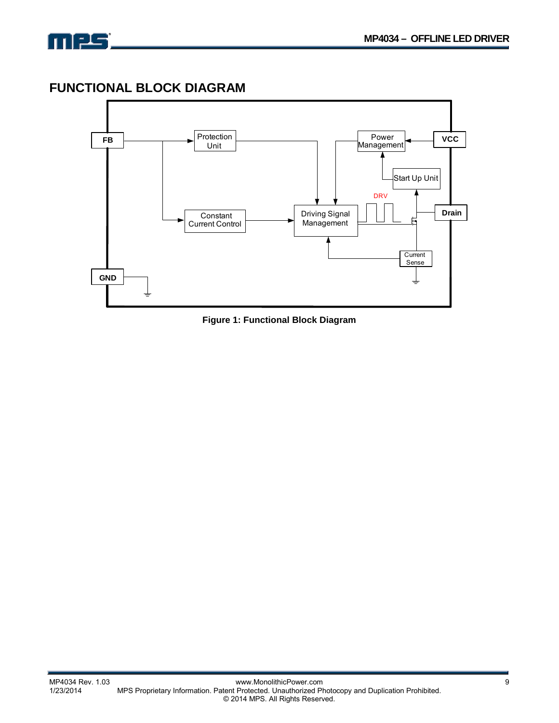

### **FUNCTIONAL BLOCK DIAGRAM**



**Figure 1: Functional Block Diagram**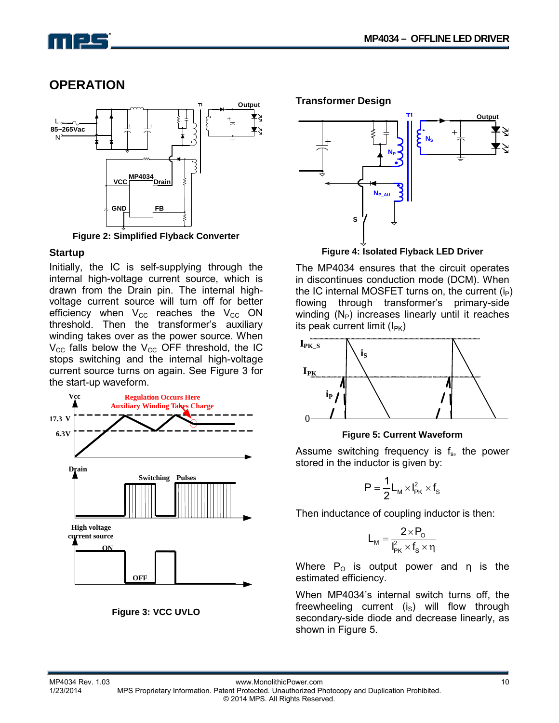# $\Box$

### **OPERATION**



**Figure 2: Simplified Flyback Converter** 

#### **Startup**

Initially, the IC is self-supplying through the internal high-voltage current source, which is drawn from the Drain pin. The internal highvoltage current source will turn off for better efficiency when  $V_{CC}$  reaches the  $V_{CC}$  ON threshold. Then the transformer's auxiliary winding takes over as the power source. When  $V_{\text{CC}}$  falls below the  $V_{\text{CC}}$  OFF threshold, the IC stops switching and the internal high-voltage current source turns on again. See Figure 3 for the start-up waveform.





**Transformer Design** 



**Figure 4: Isolated Flyback LED Driver** 

The MP4034 ensures that the circuit operates in discontinues conduction mode (DCM). When the IC internal MOSFET turns on, the current  $(i_P)$ flowing through transformer's primary-side winding  $(N_P)$  increases linearly until it reaches its peak current limit  $(I_{PK})$ 



#### **Figure 5: Current Waveform**

Assume switching frequency is  $f_s$ , the power stored in the inductor is given by:

$$
P=\frac{1}{2}L_M\times I_{PK}^2\times f_S
$$

Then inductance of coupling inductor is then:

$$
L_M = \frac{2 \times P_o}{I_{PK}^2 \times f_s \times \eta}
$$

Where  $P_0$  is output power and  $\eta$  is the estimated efficiency.

When MP4034's internal switch turns off, the freewheeling current  $(i<sub>s</sub>)$  will flow through secondary-side diode and decrease linearly, as shown in Figure 5.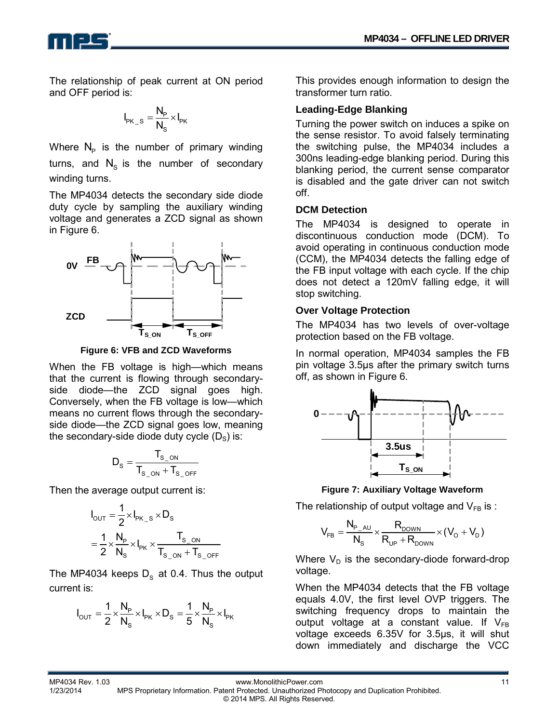The relationship of peak current at ON period and OFF period is:

$$
I_{\mathsf{PK}\_\mathsf{S}} = \frac{N_\mathsf{P}}{N_\mathsf{S}} \times I_{\mathsf{PK}}
$$

Where  $N_p$  is the number of primary winding turns, and  $N<sub>s</sub>$  is the number of secondary winding turns.

The MP4034 detects the secondary side diode duty cycle by sampling the auxiliary winding voltage and generates a ZCD signal as shown in Figure 6.



**Figure 6: VFB and ZCD Waveforms**

When the FB voltage is high—which means that the current is flowing through secondaryside diode—the ZCD signal goes high. Conversely, when the FB voltage is low—which means no current flows through the secondaryside diode—the ZCD signal goes low, meaning the secondary-side diode duty cycle  $(D_s)$  is:

$$
D_s = \frac{T_{s\_on}}{T_{s\_on} + T_{s\_OFF}}
$$

Then the average output current is:

$$
I_{\text{OUT}} = \frac{1}{2} \times I_{\text{PK\_S}} \times D_{\text{S}}
$$

$$
= \frac{1}{2} \times \frac{N_{\text{P}}}{N_{\text{S}}} \times I_{\text{PK}} \times \frac{T_{\text{S\_ON}}}{T_{\text{S\_ON}} + T_{\text{S\_OFF}}}
$$

The MP4034 keeps  $D_s$  at 0.4. Thus the output current is:

$$
I_{\text{OUT}} = \frac{1}{2} \times \frac{N_{\text{p}}}{N_{\text{S}}} \times I_{\text{PK}} \times D_{\text{S}} = \frac{1}{5} \times \frac{N_{\text{p}}}{N_{\text{S}}} \times I_{\text{PK}}
$$

This provides enough information to design the transformer turn ratio.

#### **Leading-Edge Blanking**

Turning the power switch on induces a spike on the sense resistor. To avoid falsely terminating the switching pulse, the MP4034 includes a 300ns leading-edge blanking period. During this blanking period, the current sense comparator is disabled and the gate driver can not switch off.

#### **DCM Detection**

The MP4034 is designed to operate in discontinuous conduction mode (DCM). To avoid operating in continuous conduction mode (CCM), the MP4034 detects the falling edge of the FB input voltage with each cycle. If the chip does not detect a 120mV falling edge, it will stop switching.

#### **Over Voltage Protection**

The MP4034 has two levels of over-voltage protection based on the FB voltage.

In normal operation, MP4034 samples the FB pin voltage 3.5μs after the primary switch turns off, as shown in Figure 6.



**Figure 7: Auxiliary Voltage Waveform**

The relationship of output voltage and  $V_{FB}$  is :

$$
V_{FB} = \frac{N_{P_A U}}{N_S} \times \frac{R_{\text{DOWN}}}{R_{\text{UP}} + R_{\text{DOWN}}} \times (V_{\text{O}} + V_{\text{D}})
$$

Where  $V_D$  is the secondary-diode forward-drop voltage.

When the MP4034 detects that the FB voltage equals 4.0V, the first level OVP triggers. The switching frequency drops to maintain the output voltage at a constant value. If  $V_{FB}$ voltage exceeds 6.35V for 3.5μs, it will shut down immediately and discharge the VCC

MP4034 Rev. 1.03 www.MonolithicPower.com<br>11/23/2014 MPS Proprietary Information. Patent Protected. Unauthorized Photocopy and Duplication Prohibited. MPS Proprietary Information. Patent Protected. Unauthorized Photocopy and Duplication Prohibited. © 2014 MPS. All Rights Reserved.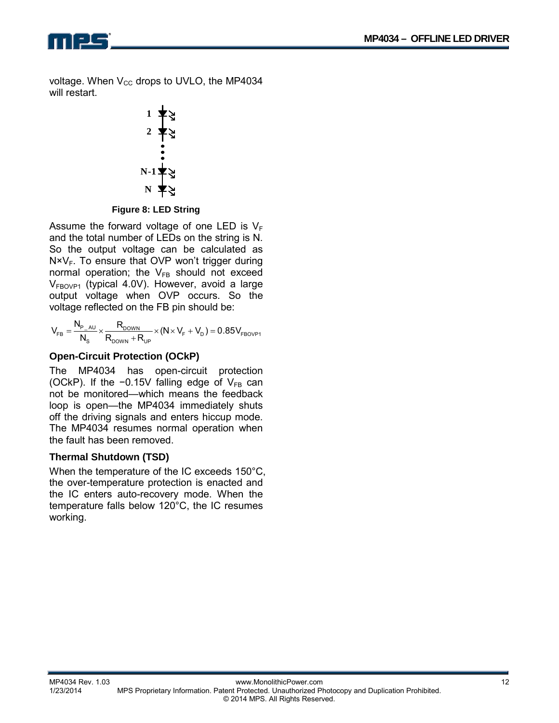$\blacksquare$ 

voltage. When  $V_{CC}$  drops to UVLO, the MP4034 will restart.

$$
\begin{array}{c}\n1 \\
2 \\
\hline\n\end{array}
$$
\n
$$
\begin{array}{c}\n1 \\
\hline\n\end{array}
$$
\n
$$
\begin{array}{c}\n1 \\
\hline\n\end{array}
$$
\n
$$
\begin{array}{c}\n1 \\
\hline\n\end{array}
$$
\n
$$
\begin{array}{c}\nN-1 \\
\hline\n\end{array}
$$
\n
$$
\begin{array}{c}\nN \\
\hline\n\end{array}
$$

**Figure 8: LED String** 

Assume the forward voltage of one LED is  $V_F$ and the total number of LEDs on the string is N. So the output voltage can be calculated as  $N \times V_F$ . To ensure that OVP won't trigger during normal operation; the  $V_{FB}$  should not exceed  $V_{FBOVP1}$  (typical 4.0V). However, avoid a large output voltage when OVP occurs. So the voltage reflected on the FB pin should be:

$$
V_{_{FB}} = \frac{N_{_{P\_AU}}}{N_{_{S}}} \times \frac{R_{\text{DOWN}}}{R_{\text{DOWN}} + R_{_{UP}}} \times (N \times V_{_{F}} + V_{_{D}}) = 0.85 V_{_{FBOVP1}}
$$

### **Open-Circuit Protection (OCkP)**

The MP4034 has open-circuit protection (OCkP). If the  $-0.15V$  falling edge of  $V_{FB}$  can not be monitored—which means the feedback loop is open—the MP4034 immediately shuts off the driving signals and enters hiccup mode. The MP4034 resumes normal operation when the fault has been removed.

#### **Thermal Shutdown (TSD)**

When the temperature of the IC exceeds 150°C, the over-temperature protection is enacted and the IC enters auto-recovery mode. When the temperature falls below 120°C, the IC resumes working.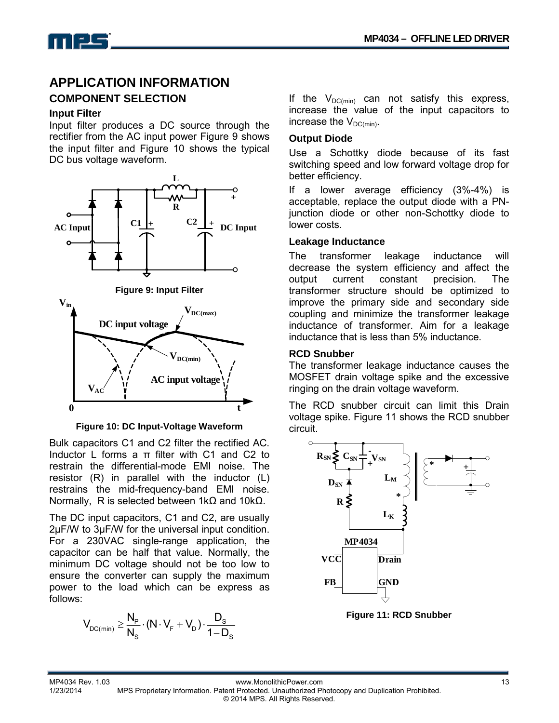![](_page_12_Picture_1.jpeg)

### **APPLICATION INFORMATION**

#### **COMPONENT SELECTION**

#### **Input Filter**

Input filter produces a DC source through the rectifier from the AC input power Figure 9 shows the input filter and Figure 10 shows the typical DC bus voltage waveform.

![](_page_12_Figure_6.jpeg)

**Figure 10: DC Input-Voltage Waveform** 

Bulk capacitors C1 and C2 filter the rectified AC. Inductor L forms a  $π$  filter with C1 and C2 to restrain the differential-mode EMI noise. The resistor (R) in parallel with the inductor (L) restrains the mid-frequency-band EMI noise. Normally, R is selected between 1kΩ and 10kΩ.

The DC input capacitors, C1 and C2, are usually 2µF/W to 3µF/W for the universal input condition. For a 230VAC single-range application, the capacitor can be half that value. Normally, the minimum DC voltage should not be too low to ensure the converter can supply the maximum power to the load which can be express as follows:

$$
V_{DC(min)} \geq \frac{N_{\text{p}}}{N_{\text{S}}}\cdot\left(N\cdot V_{\text{F}}+V_{\text{D}}\right)\cdot\frac{D_{\text{S}}}{1-D_{\text{S}}}
$$

If the  $V_{DC(min)}$  can not satisfy this express, increase the value of the input capacitors to increase the  $V_{DC(min)}$ .

#### **Output Diode**

Use a Schottky diode because of its fast switching speed and low forward voltage drop for better efficiency.

If a lower average efficiency (3%-4%) is acceptable, replace the output diode with a PNjunction diode or other non-Schottky diode to lower costs.

#### **Leakage Inductance**

The transformer leakage inductance will decrease the system efficiency and affect the output current constant precision. The transformer structure should be optimized to improve the primary side and secondary side coupling and minimize the transformer leakage inductance of transformer. Aim for a leakage inductance that is less than 5% inductance.

#### **RCD Snubber**

The transformer leakage inductance causes the MOSFET drain voltage spike and the excessive ringing on the drain voltage waveform.

The RCD snubber circuit can limit this Drain voltage spike. Figure 11 shows the RCD snubber circuit.

![](_page_12_Figure_20.jpeg)

**Figure 11: RCD Snubber**

MP4034 Rev. 1.03 www.MonolithicPower.com<br>13/2014 MPS Proprietary Information. Patent Protected. Unauthorized Photocopy and Duplication Prohibited. MPS Proprietary Information. Patent Protected. Unauthorized Photocopy and Duplication Prohibited. © 2014 MPS. All Rights Reserved.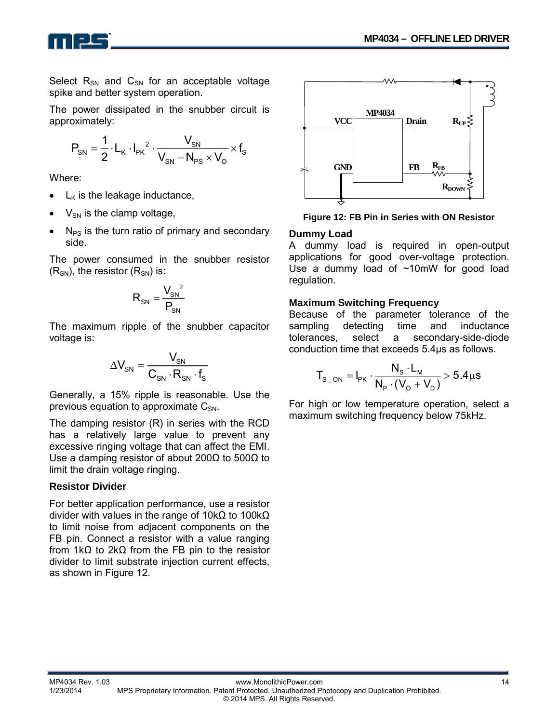![](_page_13_Picture_1.jpeg)

Select  $R_{SN}$  and  $C_{SN}$  for an acceptable voltage spike and better system operation.

The power dissipated in the snubber circuit is approximately:

$$
P_{\text{SN}} = \frac{1}{2} \cdot L_{\text{K}} \cdot I_{\text{PK}}^2 \cdot \frac{V_{\text{SN}}}{V_{\text{SN}} - N_{\text{PS}} \times V_{\text{O}}} \times f_{\text{S}}
$$

Where:

- $L_K$  is the leakage inductance,
- $V_{SN}$  is the clamp voltage,
- $N_{PS}$  is the turn ratio of primary and secondary side.

The power consumed in the snubber resistor  $(R_{SN})$ , the resistor  $(R_{SN})$  is:

$$
R_{SN} = \frac{V_{SN}^2}{P_{SN}}
$$

The maximum ripple of the snubber capacitor voltage is:

$$
\Delta V_{\rm SN} = \frac{V_{\rm SN}}{C_{\rm SN} \cdot R_{\rm SN} \cdot f_{\rm S}}
$$

Generally, a 15% ripple is reasonable. Use the previous equation to approximate  $C_{SN}$ .

The damping resistor (R) in series with the RCD has a relatively large value to prevent any excessive ringing voltage that can affect the EMI. Use a damping resistor of about 200Ω to 500Ω to limit the drain voltage ringing.

#### **Resistor Divider**

For better application performance, use a resistor divider with values in the range of 10kΩ to 100kΩ to limit noise from adjacent components on the FB pin. Connect a resistor with a value ranging from 1kΩ to 2kΩ from the FB pin to the resistor divider to limit substrate injection current effects, as shown in Figure 12.

![](_page_13_Figure_17.jpeg)

**Figure 12: FB Pin in Series with ON Resistor**

#### **Dummy Load**

A dummy load is required in open-output applications for good over-voltage protection. Use a dummy load of ~10mW for good load regulation.

#### **Maximum Switching Frequency**

Because of the parameter tolerance of the sampling detecting time and inductance tolerances, select a secondary-side-diode conduction time that exceeds 5.4µs as follows.

$$
T_{s\_ON} = I_{PK} \cdot \frac{N_s \cdot L_M}{N_P \cdot (V_0 + V_D)} > 5.4 \mu s
$$

For high or low temperature operation, select a maximum switching frequency below 75kHz.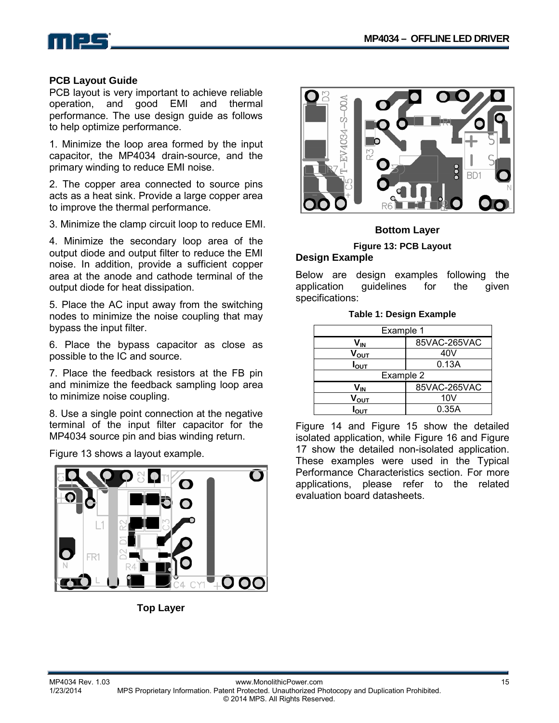![](_page_14_Picture_1.jpeg)

#### **PCB Layout Guide**

PCB layout is very important to achieve reliable operation, and good EMI and thermal performance. The use design guide as follows to help optimize performance.

1. Minimize the loop area formed by the input capacitor, the MP4034 drain-source, and the primary winding to reduce EMI noise.

2. The copper area connected to source pins acts as a heat sink. Provide a large copper area to improve the thermal performance.

3. Minimize the clamp circuit loop to reduce EMI.

4. Minimize the secondary loop area of the output diode and output filter to reduce the EMI noise. In addition, provide a sufficient copper area at the anode and cathode terminal of the output diode for heat dissipation.

5. Place the AC input away from the switching nodes to minimize the noise coupling that may bypass the input filter.

6. Place the bypass capacitor as close as possible to the IC and source.

7. Place the feedback resistors at the FB pin and minimize the feedback sampling loop area to minimize noise coupling.

8. Use a single point connection at the negative terminal of the input filter capacitor for the MP4034 source pin and bias winding return.

Figure 13 shows a layout example.

![](_page_14_Picture_13.jpeg)

**Top Layer**

![](_page_14_Picture_15.jpeg)

#### **Bottom Layer**

#### **Figure 13: PCB Layout Design Example**

Below are design examples following the application guidelines for the given specifications:

|  |  |  | Table 1: Design Example |
|--|--|--|-------------------------|
|--|--|--|-------------------------|

| Example 1        |              |  |  |
|------------------|--------------|--|--|
| V <sub>IN</sub>  | 85VAC-265VAC |  |  |
| V <sub>ουτ</sub> | 40V          |  |  |
| $I_{\text{OUT}}$ | 0.13A        |  |  |
| Example 2        |              |  |  |
| V <sub>IN</sub>  | 85VAC-265VAC |  |  |
| $V_{\text{OUT}}$ | 10V          |  |  |
| OUT              | 0.35A        |  |  |

Figure 14 and Figure 15 show the detailed isolated application, while Figure 16 and Figure 17 show the detailed non-isolated application. These examples were used in the Typical Performance Characteristics section. For more applications, please refer to the related evaluation board datasheets.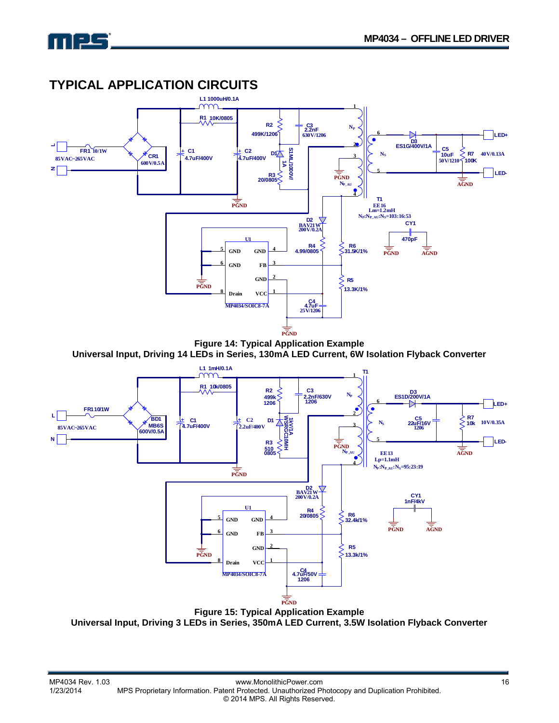![](_page_15_Picture_1.jpeg)

### **TYPICAL APPLICATION CIRCUITS**

![](_page_15_Figure_3.jpeg)

**Universal Input, Driving 14 LEDs in Series, 130mA LED Current, 6W Isolation Flyback Converter** 

![](_page_15_Figure_5.jpeg)

**Figure 15: Typical Application Example Universal Input, Driving 3 LEDs in Series, 350mA LED Current, 3.5W Isolation Flyback Converter**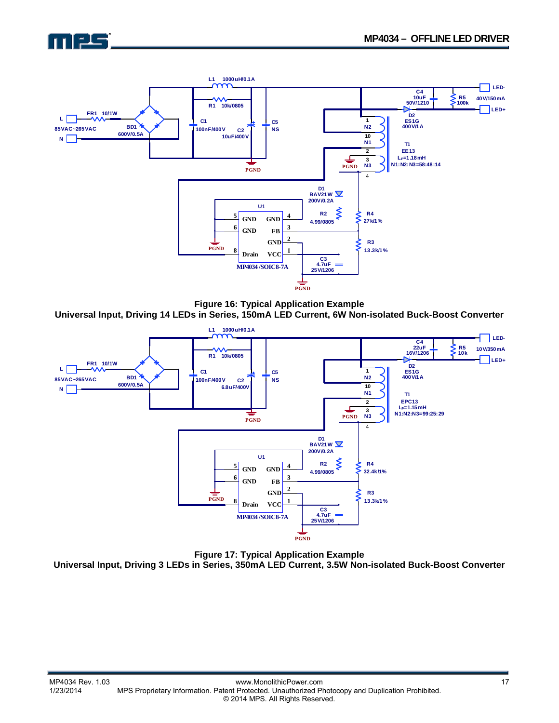![](_page_16_Picture_1.jpeg)

![](_page_16_Figure_2.jpeg)

**Figure 16: Typical Application Example Universal Input, Driving 14 LEDs in Series, 150mA LED Current, 6W Non-isolated Buck-Boost Converter** 

![](_page_16_Figure_4.jpeg)

**Figure 17: Typical Application Example Universal Input, Driving 3 LEDs in Series, 350mA LED Current, 3.5W Non-isolated Buck-Boost Converter**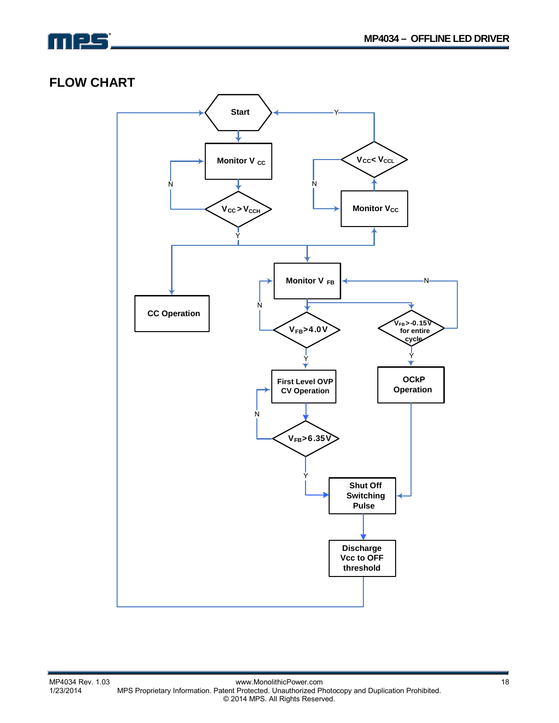![](_page_17_Picture_0.jpeg)

### **FLOW CHART**

![](_page_17_Figure_3.jpeg)